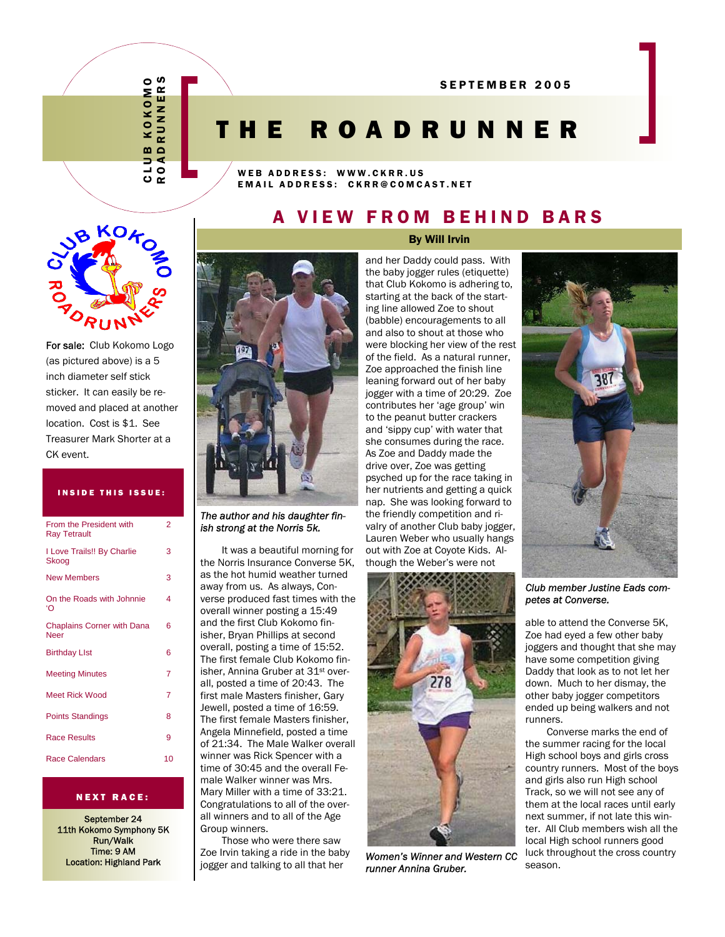ROADRUNNERS CLUB KOKOMO S  $\circ$  $\boldsymbol{\alpha}$ Σ ш KOKO  $\overline{z}$  $\overline{a}$  $\mathbf{m}$  $\Omega$ ď ∍  $\circ$ ┙

 $\overline{a}$ 

# THE ROADRUNNER

WEB ADDRESS: WWW.CKRR.US EMAIL ADDRESS: CKRR@COMCAST.NET

### A VIEW FROM BEHIND BARS



For sale: Club Kokomo Logo (as pictured above) is a 5 inch diameter self stick sticker. It can easily be removed and placed at another location. Cost is \$1. See Treasurer Mark Shorter at a CK event.

#### INSIDE THIS ISSUE:

| From the President with<br><b>Ray Tetrault</b> | $\overline{2}$ |
|------------------------------------------------|----------------|
| I Love Trails!! By Charlie<br>Skoog            | 3              |
| <b>New Members</b>                             | 3              |
| On the Roads with Johnnie<br>'റ                | 4              |
| <b>Chaplains Corner with Dana</b><br>Neer      | 6              |
| <b>Birthday LIst</b>                           | 6              |
| <b>Meeting Minutes</b>                         | 7              |
| <b>Meet Rick Wood</b>                          | 7              |
| <b>Points Standings</b>                        | 8              |
| <b>Race Results</b>                            | 9              |
| <b>Race Calendars</b>                          | 10             |

#### NEXT RACE:

September 24 11th Kokomo Symphony 5K Run/Walk Time: 9 AM Location: Highland Park



*The author and his daughter finish strong at the Norris 5k.* 

It was a beautiful morning for the Norris Insurance Converse 5K, as the hot humid weather turned away from us. As always, Converse produced fast times with the overall winner posting a 15:49 and the first Club Kokomo finisher, Bryan Phillips at second overall, posting a time of 15:52. The first female Club Kokomo finisher, Annina Gruber at 31st overall, posted a time of 20:43. The first male Masters finisher, Gary Jewell, posted a time of 16:59. The first female Masters finisher, Angela Minnefield, posted a time of 21:34. The Male Walker overall winner was Rick Spencer with a time of 30:45 and the overall Female Walker winner was Mrs. Mary Miller with a time of 33:21. Congratulations to all of the overall winners and to all of the Age Group winners.

Those who were there saw Zoe Irvin taking a ride in the baby jogger and talking to all that her

and her Daddy could pass. With the baby jogger rules (etiquette) that Club Kokomo is adhering to, starting at the back of the starting line allowed Zoe to shout (babble) encouragements to all and also to shout at those who were blocking her view of the rest of the field. As a natural runner, Zoe approached the finish line leaning forward out of her baby jogger with a time of 20:29. Zoe contributes her 'age group' win to the peanut butter crackers and 'sippy cup' with water that she consumes during the race. As Zoe and Daddy made the drive over, Zoe was getting psyched up for the race taking in her nutrients and getting a quick nap. She was looking forward to the friendly competition and rivalry of another Club baby jogger, Lauren Weber who usually hangs out with Zoe at Coyote Kids. Although the Weber's were not



*Women's Winner and Western CC runner Annina Gruber.* 



*Club member Justine Eads competes at Converse.* 

able to attend the Converse 5K, Zoe had eyed a few other baby joggers and thought that she may have some competition giving Daddy that look as to not let her down. Much to her dismay, the other baby jogger competitors ended up being walkers and not runners.

Converse marks the end of the summer racing for the local High school boys and girls cross country runners. Most of the boys and girls also run High school Track, so we will not see any of them at the local races until early next summer, if not late this winter. All Club members wish all the local High school runners good luck throughout the cross country season.

# By Will Irvin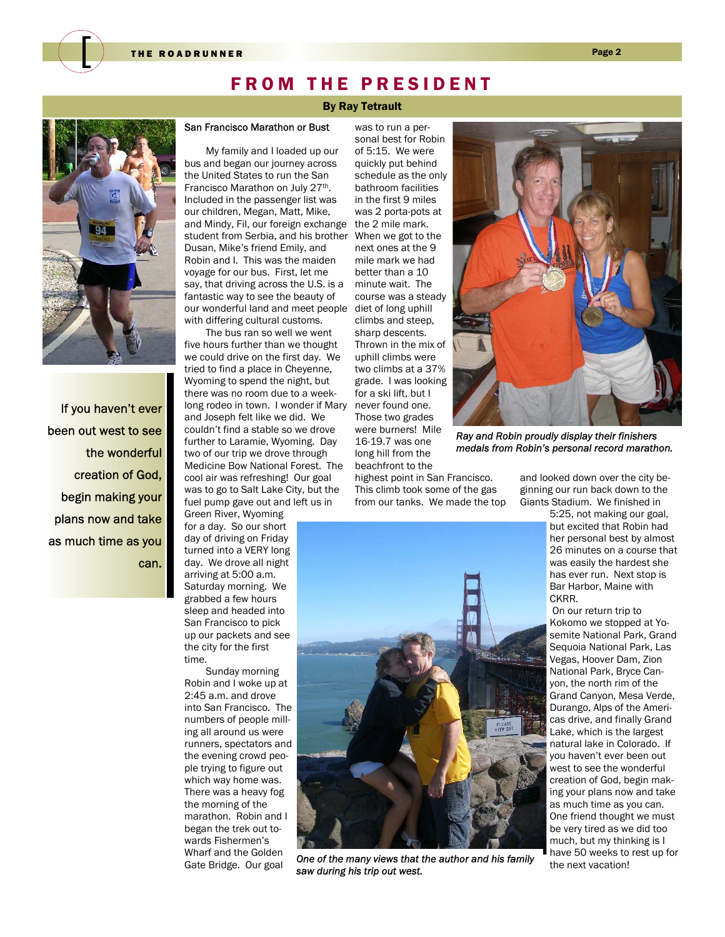### FROM THE PRESIDENT

#### By Ray Tetrault

was to run a per-

#### San Francisco Marathon or Bust

My family and I loaded up our bus and began our journey across the United States to run the San Francisco Marathon on July 27<sup>th</sup>. Included in the passenger list was our children, Megan, Matt, Mike, and Mindy, Fil, our foreign exchange student from Serbia, and his brother Dusan, Mike's friend Emily, and Robin and I. This was the maiden voyage for our bus. First, let me say, that driving across the U.S. is a fantastic way to see the beauty of our wonderful land and meet people with differing cultural customs.

The bus ran so well we went five hours further than we thought we could drive on the first day. We tried to find a place in Cheyenne, Wyoming to spend the night, but there was no room due to a weeklong rodeo in town. I wonder if Mary and Joseph felt like we did. We couldn't find a stable so we drove further to Laramie, Wyoming. Day two of our trip we drove through Medicine Bow National Forest. The cool air was refreshing! Our goal was to go to Salt Lake City, but the fuel pump gave out and left us in Green River, Wyoming

for a day. So our short day of driving on Friday turned into a VERY long day. We drove all night arriving at 5:00 a.m. Saturday morning. We grabbed a few hours sleep and headed into San Francisco to pick up our packets and see the city for the first time.

Sunday morning Robin and I woke up at 2:45 a.m. and drove into San Francisco. The numbers of people milling all around us were runners, spectators and the evening crowd people trying to figure out which way home was. There was a heavy fog the morning of the marathon. Robin and I began the trek out towards Fishermen's Wharf and the Golden Gate Bridge. Our goal

sonal best for Robin of 5:15. We were quickly put behind schedule as the only bathroom facilities in the first 9 miles was 2 porta-pots at the 2 mile mark. When we got to the next ones at the 9 mile mark we had better than a 10 minute wait. The course was a steady diet of long uphill climbs and steep, sharp descents. Thrown in the mix of uphill climbs were two climbs at a 37% grade. I was looking for a ski lift, but I never found one. Those two grades were burners! Mile 16-19.7 was one long hill from the beachfront to the

highest point in San Francisco. This climb took some of the gas from our tanks. We made the top



*Ray and Robin proudly display their finishers medals from Robin's personal record marathon.* 

and looked down over the city beginning our run back down to the Giants Stadium. We finished in

5:25, not making our goal, but excited that Robin had her personal best by almost 26 minutes on a course that was easily the hardest she has ever run. Next stop is Bar Harbor, Maine with CKRR.

 On our return trip to Kokomo we stopped at Yosemite National Park, Grand Sequoia National Park, Las Vegas, Hoover Dam, Zion National Park, Bryce Canyon, the north rim of the Grand Canyon, Mesa Verde, Durango, Alps of the Americas drive, and finally Grand Lake, which is the largest natural lake in Colorado. If you haven't ever been out west to see the wonderful creation of God, begin making your plans now and take as much time as you can. One friend thought we must be very tired as we did too much, but my thinking is I have 50 weeks to rest up for the next vacation!



If you haven't ever been out west to see the wonderful creation of God, begin making your plans now and take as much time as you can.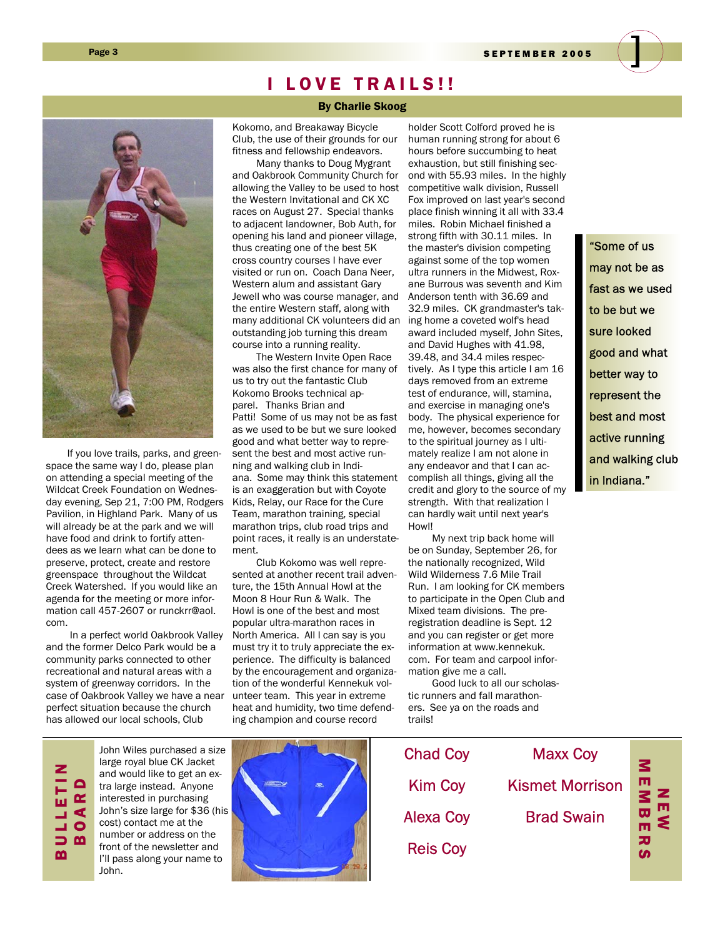Page 3 SEPTEMBER 2005



If you love trails, parks, and greenspace the same way I do, please plan on attending a special meeting of the Wildcat Creek Foundation on Wednesday evening, Sep 21, 7:00 PM, Rodgers Pavilion, in Highland Park. Many of us will already be at the park and we will have food and drink to fortify attendees as we learn what can be done to preserve, protect, create and restore greenspace throughout the Wildcat Creek Watershed. If you would like an agenda for the meeting or more information call 457-2607 or runckrr@aol. com.

 In a perfect world Oakbrook Valley and the former Delco Park would be a community parks connected to other recreational and natural areas with a system of greenway corridors. In the case of Oakbrook Valley we have a near perfect situation because the church has allowed our local schools, Club

### I LOVE TRAILS!!

#### By Charlie Skoog

Kokomo, and Breakaway Bicycle Club, the use of their grounds for our fitness and fellowship endeavors.

 Many thanks to Doug Mygrant and Oakbrook Community Church for allowing the Valley to be used to host the Western Invitational and CK XC races on August 27. Special thanks to adjacent landowner, Bob Auth, for opening his land and pioneer village, thus creating one of the best 5K cross country courses I have ever visited or run on. Coach Dana Neer, Western alum and assistant Gary Jewell who was course manager, and the entire Western staff, along with many additional CK volunteers did an outstanding job turning this dream course into a running reality.

 The Western Invite Open Race was also the first chance for many of us to try out the fantastic Club Kokomo Brooks technical apparel. Thanks Brian and Patti! Some of us may not be as fast as we used to be but we sure looked good and what better way to represent the best and most active running and walking club in Indiana. Some may think this statement is an exaggeration but with Coyote Kids, Relay, our Race for the Cure Team, marathon training, special marathon trips, club road trips and point races, it really is an understatement.

 Club Kokomo was well represented at another recent trail adventure, the 15th Annual Howl at the Moon 8 Hour Run & Walk. The Howl is one of the best and most popular ultra-marathon races in North America. All I can say is you must try it to truly appreciate the experience. The difficulty is balanced by the encouragement and organization of the wonderful Kennekuk volunteer team. This year in extreme heat and humidity, two time defending champion and course record

holder Scott Colford proved he is human running strong for about 6 hours before succumbing to heat exhaustion, but still finishing second with 55.93 miles. In the highly competitive walk division, Russell Fox improved on last year's second place finish winning it all with 33.4 miles. Robin Michael finished a strong fifth with 30.11 miles. In the master's division competing against some of the top women ultra runners in the Midwest, Roxane Burrous was seventh and Kim Anderson tenth with 36.69 and 32.9 miles. CK grandmaster's taking home a coveted wolf's head award included myself, John Sites, and David Hughes with 41.98, 39.48, and 34.4 miles respectively. As I type this article I am 16 days removed from an extreme test of endurance, will, stamina, and exercise in managing one's body. The physical experience for me, however, becomes secondary to the spiritual journey as I ultimately realize I am not alone in any endeavor and that I can accomplish all things, giving all the credit and glory to the source of my strength. With that realization I can hardly wait until next year's Howl!

 My next trip back home will be on Sunday, September 26, for the nationally recognized, Wild Wild Wilderness 7.6 Mile Trail Run. I am looking for CK members to participate in the Open Club and Mixed team divisions. The preregistration deadline is Sept. 12 and you can register or get more information at www.kennekuk. com. For team and carpool information give me a call.

 Good luck to all our scholastic runners and fall marathoners. See ya on the roads and trails!

"Some of us may not be as fast as we used to be but we sure looked good and what better way to represent the best and most active running and walking club in Indiana."

> N<sub>N</sub> MEMBER<br>MEMB

로<br>교

MBに

ᅎ ശ

# BULLETIN BOARD

John Wiles purchased a size large royal blue CK Jacket and would like to get an extra large instead. Anyone interested in purchasing John's size large for \$36 (his cost) contact me at the number or address on the front of the newsletter and I'll pass along your name to John.



Maxx Coy Kismet Morrison Brad Swain Chad Coy Kim Coy Alexa Coy Reis Coy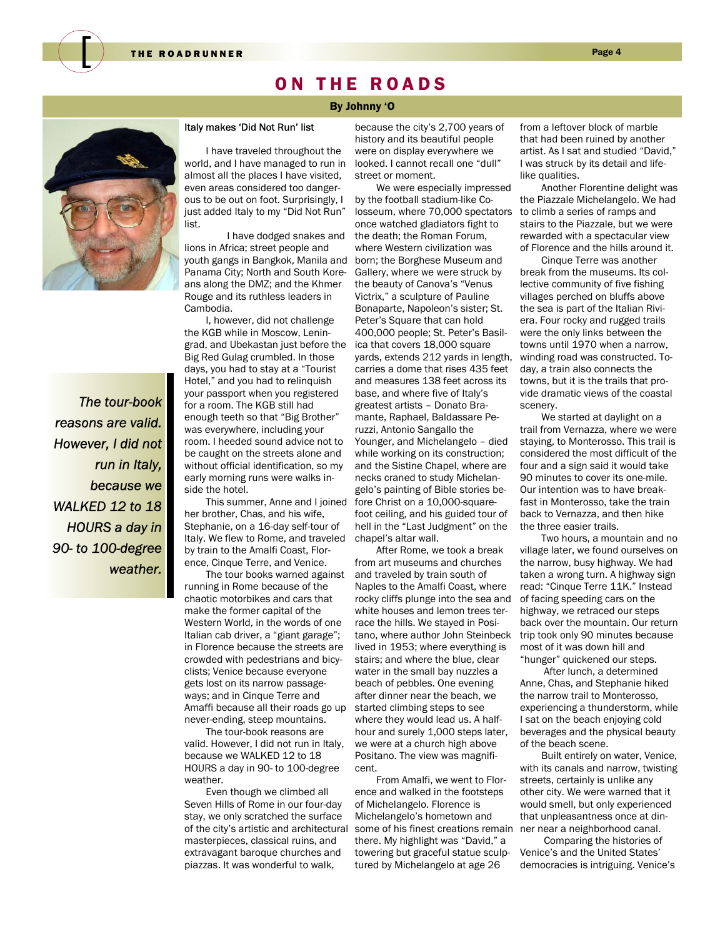

### ON THE ROADS

#### By Johnny 'O



*The tour-book reasons are valid. However, I did not run in Italy, because we WALKED 12 to 18 HOURS a day in 90- to 100-degree weather.* 

### Italy makes 'Did Not Run' list

I have traveled throughout the world, and I have managed to run in almost all the places I have visited, even areas considered too dangerous to be out on foot. Surprisingly, I just added Italy to my "Did Not Run" list.

 I have dodged snakes and lions in Africa; street people and youth gangs in Bangkok, Manila and Panama City; North and South Koreans along the DMZ; and the Khmer Rouge and its ruthless leaders in Cambodia.

I, however, did not challenge the KGB while in Moscow, Leningrad, and Ubekastan just before the Big Red Gulag crumbled. In those days, you had to stay at a "Tourist Hotel," and you had to relinquish your passport when you registered for a room. The KGB still had enough teeth so that "Big Brother" was everywhere, including your room. I heeded sound advice not to be caught on the streets alone and without official identification, so my early morning runs were walks inside the hotel.

This summer, Anne and I joined her brother, Chas, and his wife, Stephanie, on a 16-day self-tour of Italy. We flew to Rome, and traveled by train to the Amalfi Coast, Florence, Cinque Terre, and Venice.

The tour books warned against running in Rome because of the chaotic motorbikes and cars that make the former capital of the Western World, in the words of one Italian cab driver, a "giant garage"; in Florence because the streets are crowded with pedestrians and bicyclists; Venice because everyone gets lost on its narrow passageways; and in Cinque Terre and Amaffi because all their roads go up never-ending, steep mountains.

The tour-book reasons are valid. However, I did not run in Italy, because we WALKED 12 to 18 HOURS a day in 90- to 100-degree weather.

Even though we climbed all Seven Hills of Rome in our four-day stay, we only scratched the surface of the city's artistic and architectural masterpieces, classical ruins, and extravagant baroque churches and piazzas. It was wonderful to walk,

because the city's 2,700 years of history and its beautiful people were on display everywhere we looked. I cannot recall one "dull" street or moment.

We were especially impressed by the football stadium-like Colosseum, where 70,000 spectators once watched gladiators fight to the death; the Roman Forum, where Western civilization was born; the Borghese Museum and Gallery, where we were struck by the beauty of Canova's "Venus Victrix," a sculpture of Pauline Bonaparte, Napoleon's sister; St. Peter's Square that can hold 400,000 people; St. Peter's Basilica that covers 18,000 square yards, extends 212 yards in length, carries a dome that rises 435 feet and measures 138 feet across its base, and where five of Italy's greatest artists – Donato Bramante, Raphael, Baldassare Peruzzi, Antonio Sangallo the Younger, and Michelangelo – died while working on its construction; and the Sistine Chapel, where are necks craned to study Michelangelo's painting of Bible stories before Christ on a 10,000-squarefoot ceiling, and his guided tour of hell in the "Last Judgment" on the chapel's altar wall.

After Rome, we took a break from art museums and churches and traveled by train south of Naples to the Amalfi Coast, where rocky cliffs plunge into the sea and white houses and lemon trees terrace the hills. We stayed in Positano, where author John Steinbeck lived in 1953; where everything is stairs; and where the blue, clear water in the small bay nuzzles a beach of pebbles. One evening after dinner near the beach, we started climbing steps to see where they would lead us. A halfhour and surely 1,000 steps later, we were at a church high above Positano. The view was magnificent.

From Amalfi, we went to Florence and walked in the footsteps of Michelangelo. Florence is Michelangelo's hometown and some of his finest creations remain there. My highlight was "David," a towering but graceful statue sculptured by Michelangelo at age 26

from a leftover block of marble that had been ruined by another artist. As I sat and studied "David," I was struck by its detail and lifelike qualities.

Another Florentine delight was the Piazzale Michelangelo. We had to climb a series of ramps and stairs to the Piazzale, but we were rewarded with a spectacular view of Florence and the hills around it.

Cinque Terre was another break from the museums. Its collective community of five fishing villages perched on bluffs above the sea is part of the Italian Riviera. Four rocky and rugged trails were the only links between the towns until 1970 when a narrow, winding road was constructed. Today, a train also connects the towns, but it is the trails that provide dramatic views of the coastal scenery.

We started at daylight on a trail from Vernazza, where we were staying, to Monterosso. This trail is considered the most difficult of the four and a sign said it would take 90 minutes to cover its one-mile. Our intention was to have breakfast in Monterosso, take the train back to Vernazza, and then hike the three easier trails.

Two hours, a mountain and no village later, we found ourselves on the narrow, busy highway. We had taken a wrong turn. A highway sign read: "Cinque Terre 11K." Instead of facing speeding cars on the highway, we retraced our steps back over the mountain. Our return trip took only 90 minutes because most of it was down hill and "hunger" quickened our steps.

 After lunch, a determined Anne, Chas, and Stephanie hiked the narrow trail to Monterosso, experiencing a thunderstorm, while I sat on the beach enjoying cold beverages and the physical beauty of the beach scene.

Built entirely on water, Venice, with its canals and narrow, twisting streets, certainly is unlike any other city. We were warned that it would smell, but only experienced that unpleasantness once at dinner near a neighborhood canal.

 Comparing the histories of Venice's and the United States' democracies is intriguing. Venice's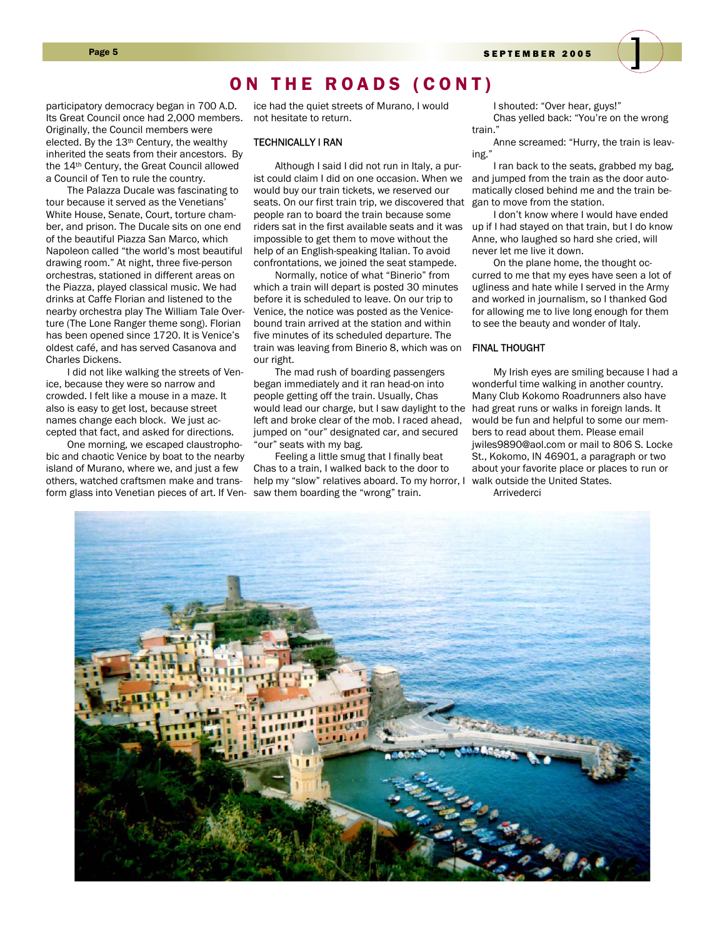### ON THE ROADS (CONT)

participatory democracy began in 700 A.D. Its Great Council once had 2,000 members. Originally, the Council members were elected. By the 13<sup>th</sup> Century, the wealthy inherited the seats from their ancestors. By the 14th Century, the Great Council allowed a Council of Ten to rule the country.

The Palazza Ducale was fascinating to tour because it served as the Venetians' White House, Senate, Court, torture chamber, and prison. The Ducale sits on one end of the beautiful Piazza San Marco, which Napoleon called "the world's most beautiful drawing room." At night, three five-person orchestras, stationed in different areas on the Piazza, played classical music. We had drinks at Caffe Florian and listened to the nearby orchestra play The William Tale Overture (The Lone Ranger theme song). Florian has been opened since 1720. It is Venice's oldest café, and has served Casanova and Charles Dickens.

I did not like walking the streets of Venice, because they were so narrow and crowded. I felt like a mouse in a maze. It also is easy to get lost, because street names change each block. We just accepted that fact, and asked for directions.

One morning, we escaped claustrophobic and chaotic Venice by boat to the nearby island of Murano, where we, and just a few others, watched craftsmen make and transform glass into Venetian pieces of art. If Ven-

ice had the quiet streets of Murano, I would not hesitate to return.

#### TECHNICALLY I RAN

Although I said I did not run in Italy, a purist could claim I did on one occasion. When we would buy our train tickets, we reserved our seats. On our first train trip, we discovered that people ran to board the train because some riders sat in the first available seats and it was impossible to get them to move without the help of an English-speaking Italian. To avoid confrontations, we joined the seat stampede.

Normally, notice of what "Binerio" from which a train will depart is posted 30 minutes before it is scheduled to leave. On our trip to Venice, the notice was posted as the Venicebound train arrived at the station and within five minutes of its scheduled departure. The train was leaving from Binerio 8, which was on our right.

The mad rush of boarding passengers began immediately and it ran head-on into people getting off the train. Usually, Chas would lead our charge, but I saw daylight to the left and broke clear of the mob. I raced ahead, jumped on "our" designated car, and secured "our" seats with my bag.

Feeling a little smug that I finally beat Chas to a train, I walked back to the door to help my "slow" relatives aboard. To my horror, I saw them boarding the "wrong" train.

I shouted: "Over hear, guys!" Chas yelled back: "You're on the wrong train."

Anne screamed: "Hurry, the train is leaving."

I ran back to the seats, grabbed my bag, and jumped from the train as the door automatically closed behind me and the train began to move from the station.

I don't know where I would have ended up if I had stayed on that train, but I do know Anne, who laughed so hard she cried, will never let me live it down.

On the plane home, the thought occurred to me that my eyes have seen a lot of ugliness and hate while I served in the Army and worked in journalism, so I thanked God for allowing me to live long enough for them to see the beauty and wonder of Italy.

#### FINAL THOUGHT

My Irish eyes are smiling because I had a wonderful time walking in another country. Many Club Kokomo Roadrunners also have had great runs or walks in foreign lands. It would be fun and helpful to some our members to read about them. Please email jwiles9890@aol.com or mail to 806 S. Locke St., Kokomo, IN 46901, a paragraph or two about your favorite place or places to run or walk outside the United States.

**Arrivederci** 

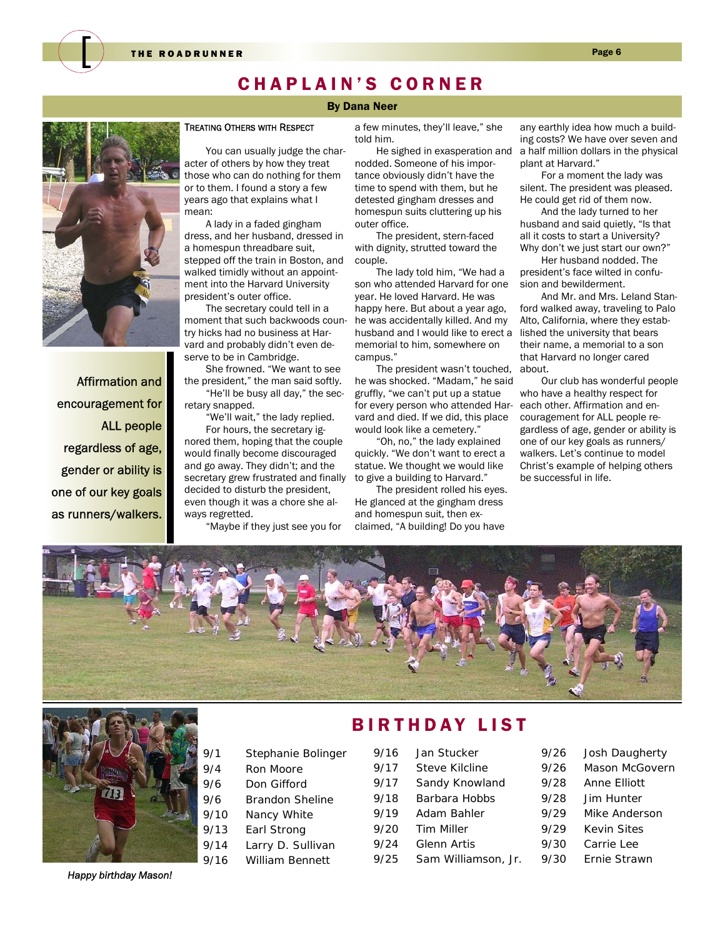

### CHAPLAIN'S CORNER

#### By Dana Neer

Affirmation and encouragement for ALL people regardless of age, gender or ability is one of our key goals as runners/walkers.

#### TREATING OTHERS WITH RESPECT

You can usually judge the character of others by how they treat those who can do nothing for them or to them. I found a story a few years ago that explains what I mean:

A lady in a faded gingham dress, and her husband, dressed in a homespun threadbare suit, stepped off the train in Boston, and walked timidly without an appointment into the Harvard University president's outer office.

The secretary could tell in a moment that such backwoods country hicks had no business at Harvard and probably didn't even deserve to be in Cambridge.

She frowned. "We want to see the president," the man said softly. "He'll be busy all day," the secretary snapped.

"We'll wait," the lady replied.

For hours, the secretary ignored them, hoping that the couple would finally become discouraged and go away. They didn't; and the secretary grew frustrated and finally decided to disturb the president, even though it was a chore she always regretted.

"Maybe if they just see you for

a few minutes, they'll leave," she told him.

He sighed in exasperation and nodded. Someone of his importance obviously didn't have the time to spend with them, but he detested gingham dresses and homespun suits cluttering up his outer office.

The president, stern-faced with dignity, strutted toward the couple.

The lady told him, "We had a son who attended Harvard for one year. He loved Harvard. He was happy here. But about a year ago, he was accidentally killed. And my husband and I would like to erect a memorial to him, somewhere on campus."

The president wasn't touched, he was shocked. "Madam," he said gruffly, "we can't put up a statue for every person who attended Harvard and died. If we did, this place would look like a cemetery."

"Oh, no," the lady explained quickly. "We don't want to erect a statue. We thought we would like to give a building to Harvard."

The president rolled his eyes. He glanced at the gingham dress and homespun suit, then exclaimed, "A building! Do you have

any earthly idea how much a building costs? We have over seven and a half million dollars in the physical plant at Harvard."

For a moment the lady was silent. The president was pleased. He could get rid of them now.

And the lady turned to her husband and said quietly, "Is that all it costs to start a University? Why don't we just start our own?"

Her husband nodded. The president's face wilted in confusion and bewilderment.

And Mr. and Mrs. Leland Stanford walked away, traveling to Palo Alto, California, where they established the university that bears their name, a memorial to a son that Harvard no longer cared about.

Our club has wonderful people who have a healthy respect for each other. Affirmation and encouragement for ALL people regardless of age, gender or ability is one of our key goals as runners/ walkers. Let's continue to model Christ's example of helping others be successful in life.





*Happy birthday Mason!* 

### BIRTHDAY LIST

| 9/16 | Jan Stucker           | 9/26 | Josh Daugherty     |
|------|-----------------------|------|--------------------|
| 9/17 | <b>Steve Kilcline</b> | 9/26 | Mason McGovern     |
| 9/17 | Sandy Knowland        | 9/28 | Anne Elliott       |
| 9/18 | Barbara Hobbs         | 9/28 | Jim Hunter         |
| 9/19 | Adam Bahler           | 9/29 | Mike Anderson      |
| 9/20 | Tim Miller            | 9/29 | <b>Kevin Sites</b> |
| 9/24 | <b>Glenn Artis</b>    | 9/30 | Carrie Lee         |
| 9/25 | Sam Williamson, Jr.   | 9/30 | Ernie Strawn       |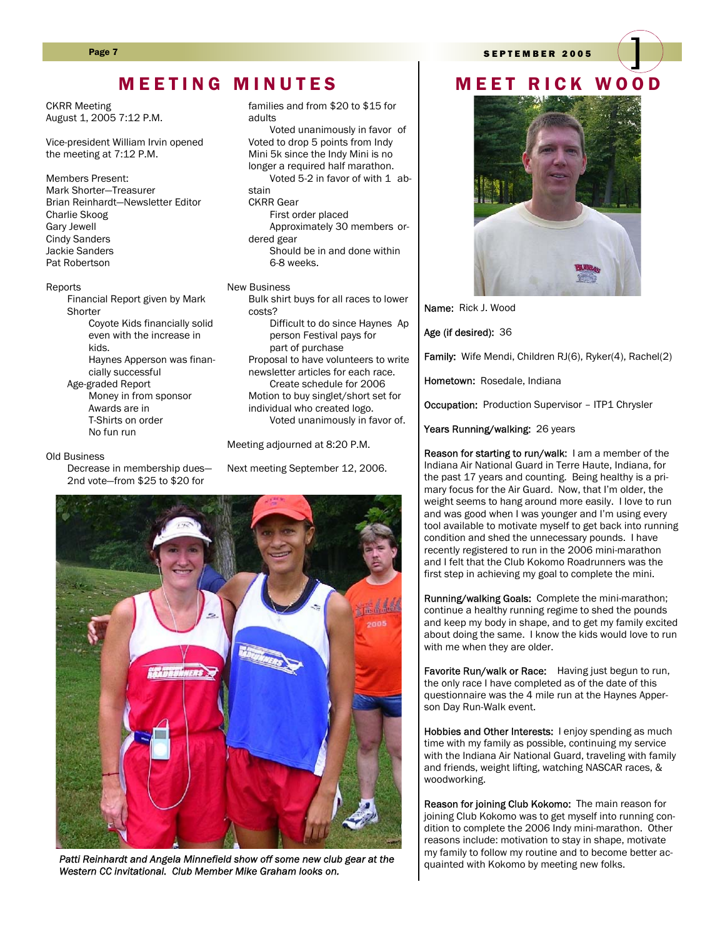#### Page 7 SEPTEMBER 2005

### MEETING MINUTES | MEET RICK WOOD

CKRR Meeting August 1, 2005 7:12 P.M.

Vice-president William Irvin opened the meeting at 7:12 P.M.

Members Present: Mark Shorter—Treasurer Brian Reinhardt—Newsletter Editor Charlie Skoog Gary Jewell Cindy Sanders Jackie Sanders Pat Robertson

#### Reports

 Financial Report given by Mark **Shorter**  Coyote Kids financially solid even with the increase in kids.

> Haynes Apperson was financially successful

 Age-graded Report Money in from sponsor Awards are in T-Shirts on order No fun run

#### Old Business

 Decrease in membership dues— 2nd vote—from \$25 to \$20 for

families and from \$20 to \$15 for adults

 Voted unanimously in favor of Voted to drop 5 points from Indy Mini 5k since the Indy Mini is no longer a required half marathon. Voted 5-2 in favor of with 1 abstain

#### CKRR Gear

 First order placed Approximately 30 members ordered gear Should be in and done within 6-8 weeks.

#### New Business

 Bulk shirt buys for all races to lower costs? Difficult to do since Haynes Ap person Festival pays for part of purchase Proposal to have volunteers to write newsletter articles for each race. Create schedule for 2006 Motion to buy singlet/short set for

individual who created logo. Voted unanimously in favor of.

Meeting adjourned at 8:20 P.M.

Next meeting September 12, 2006.



*Patti Reinhardt and Angela Minnefield show off some new club gear at the Western CC invitational. Club Member Mike Graham looks on.* 



Name: Rick J. Wood

Age (if desired): 36

Family: Wife Mendi, Children RJ(6), Ryker(4), Rachel(2)

Hometown: Rosedale, Indiana

Occupation: Production Supervisor - ITP1 Chrysler

Years Running/walking: 26 years

Reason for starting to run/walk: I am a member of the Indiana Air National Guard in Terre Haute, Indiana, for the past 17 years and counting. Being healthy is a primary focus for the Air Guard. Now, that I'm older, the weight seems to hang around more easily. I love to run and was good when I was younger and I'm using every tool available to motivate myself to get back into running condition and shed the unnecessary pounds. I have recently registered to run in the 2006 mini-marathon and I felt that the Club Kokomo Roadrunners was the first step in achieving my goal to complete the mini.

Running/walking Goals: Complete the mini-marathon; continue a healthy running regime to shed the pounds and keep my body in shape, and to get my family excited about doing the same. I know the kids would love to run with me when they are older.

Favorite Run/walk or Race: Having just begun to run, the only race I have completed as of the date of this questionnaire was the 4 mile run at the Haynes Apperson Day Run-Walk event.

Hobbies and Other Interests: I enjoy spending as much time with my family as possible, continuing my service with the Indiana Air National Guard, traveling with family and friends, weight lifting, watching NASCAR races, & woodworking.

Reason for joining Club Kokomo: The main reason for joining Club Kokomo was to get myself into running condition to complete the 2006 Indy mini-marathon. Other reasons include: motivation to stay in shape, motivate my family to follow my routine and to become better acquainted with Kokomo by meeting new folks.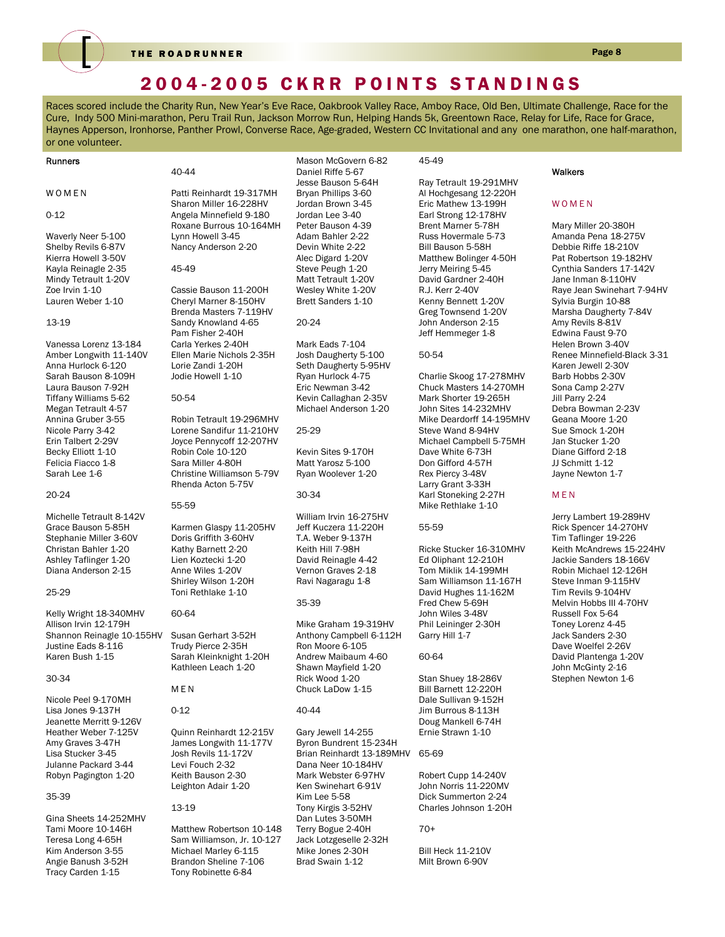

THE ROADRUNNER Page 8

### 2004-2005 CKRR POINTS STANDINGS

Races scored include the Charity Run, New Year's Eve Race, Oakbrook Valley Race, Amboy Race, Old Ben, Ultimate Challenge, Race for the Cure, Indy 500 Mini-marathon, Peru Trail Run, Jackson Morrow Run, Helping Hands 5k, Greentown Race, Relay for Life, Race for Grace, Haynes Apperson, Ironhorse, Panther Prowl, Converse Race, Age-graded, Western CC Invitational and any one marathon, one half-marathon, or one volunteer.

#### 40-44 Patti Reinhardt 19-317MH Sharon Miller 16-228HV Angela Minnefield 9-180 Roxane Burrous 10-164MH Lynn Howell 3-45 Nancy Anderson 2-20 45-49 Cassie Bauson 11-200H Cheryl Marner 8-150HV Brenda Masters 7-119HV Sandy Knowland 4-65 Pam Fisher 2-40H Carla Yerkes 2-40H Ellen Marie Nichols 2-35H Lorie Zandi 1-20H Jodie Howell 1-10 50-54 Robin Tetrault 19-296MHV Lorene Sandifur 11-210HV Joyce Pennycoff 12-207HV Robin Cole 10-120 Sara Miller 4-80H Christine Williamson 5-79V Rhenda Acton 5-75V 55-59 Karmen Glaspy 11-205HV Doris Griffith 3-60HV Kathy Barnett 2-20 Lien Koztecki 1-20 Anne Wiles 1-20V Shirley Wilson 1-20H Toni Rethlake 1-10 60-64 Susan Gerhart 3-52H Trudy Pierce 2-35H Sarah Kleinknight 1-20H Kathleen Leach 1-20 MEN 0-12 Quinn Reinhardt 12-215V James Longwith 11-177V Josh Revils 11-172V Levi Fouch 2-32 Keith Bauson 2-30 Leighton Adair 1-20 13-19 Mason McGovern 6-82 Daniel Riffe 5-67 Jesse Bauson 5-64H Bryan Phillips 3-60 Jordan Brown 3-45 Jordan Lee 3-40 Peter Bauson 4-39 Adam Bahler 2-22 Devin White 2-22 Alec Digard 1-20V Steve Peugh 1-20 Matt Tetrault 1-20V Wesley White 1-20V Brett Sanders 1-10 20-24 Mark Eads 7-104 Josh Daugherty 5-100 Seth Daugherty 5-95HV Ryan Hurlock 4-75 Eric Newman 3-42 Kevin Callaghan 2-35V Michael Anderson 1-20 25-29 Kevin Sites 9-170H Matt Yarosz 5-100 Ryan Woolever 1-20 30-34 William Irvin 16-275HV Jeff Kuczera 11-220H T.A. Weber 9-137H Keith Hill 7-98H David Reinagle 4-42 Vernon Graves 2-18 Ravi Nagaragu 1-8 35-39 Mike Graham 19-319HV Anthony Campbell 6-112H Ron Moore 6-105 Andrew Maibaum 4-60 Shawn Mayfield 1-20 Rick Wood 1-20 Chuck LaDow 1-15 40-44 Gary Jewell 14-255 Byron Bundrent 15-234H Brian Reinhardt 13-189MHV Dana Neer 10-184HV Mark Webster 6-97HV Ken Swinehart 6-91V Kim Lee 5-58 Tony Kirgis 3-52HV 45-49 Ray Tetrault 19-291MHV Al Hochgesang 12-220H Eric Mathew 13-199H Earl Strong 12-178HV Brent Marner 5-78H Russ Hovermale 5-73 Bill Bauson 5-58H Matthew Bolinger 4-50H Jerry Meiring 5-45 David Gardner 2-40H R.J. Kerr 2-40V Kenny Bennett 1-20V Greg Townsend 1-20V John Anderson 2-15 Jeff Hemmeger 1-8 50-54 Charlie Skoog 17-278MHV Chuck Masters 14-270MH Mark Shorter 19-265H John Sites 14-232MHV Mike Deardorff 14-195MHV Steve Wand 8-94HV Michael Campbell 5-75MH Dave White 6-73H Don Gifford 4-57H Rex Piercy 3-48V Larry Grant 3-33H Karl Stoneking 2-27H Mike Rethlake 1-10 55-59 Ricke Stucker 16-310MHV Ed Oliphant 12-210H Tom Miklik 14-199MH Sam Williamson 11-167H David Hughes 11-162M Fred Chew 5-69H John Wiles 3-48V Phil Leininger 2-30H Garry Hill 1-7 60-64 Stan Shuey 18-286V Bill Barnett 12-220H Dale Sullivan 9-152H Jim Burrous 8-113H Doug Mankell 6-74H Ernie Strawn 1-10 65-69 Robert Cupp 14-240V John Norris 11-220MV Dick Summerton 2-24 Charles Johnson 1-20H Runners WOMEN 0-12 Waverly Neer 5-100 Shelby Revils 6-87V Kierra Howell 3-50V Kayla Reinagle 2-35 Mindy Tetrault 1-20V Zoe Irvin 1-10 Lauren Weber 1-10 13-19 Vanessa Lorenz 13-184 Amber Longwith 11-140V Anna Hurlock 6-120 Sarah Bauson 8-109H Laura Bauson 7-92H Tiffany Williams 5-62 Megan Tetrault 4-57 Annina Gruber 3-55 Nicole Parry 3-42 Erin Talbert 2-29V Becky Elliott 1-10 Felicia Fiacco 1-8 Sarah Lee 1-6 20-24 Michelle Tetrault 8-142V Grace Bauson 5-85H Stephanie Miller 3-60V Christan Bahler 1-20 Ashley Taflinger 1-20 Diana Anderson 2-15 25-29 Kelly Wright 18-340MHV Allison Irvin 12-179H Shannon Reinagle 10-155HV Justine Eads 8-116 Karen Bush 1-15 30-34 Nicole Peel 9-170MH Lisa Jones 9-137H Jeanette Merritt 9-126V Heather Weber 7-125V Amy Graves 3-47H Lisa Stucker 3-45 Julanne Packard 3-44 Robyn Pagington 1-20 35-39 Gina Sheets 14-252MHV **Walkers** WOMEN Jill Parry 2-24 M E N

Tami Moore 10-146H Teresa Long 4-65H Kim Anderson 3-55 Angie Banush 3-52H Tracy Carden 1-15

Matthew Robertson 10-148 Sam Williamson, Jr. 10-127 Michael Marley 6-115 Brandon Sheline 7-106 Tony Robinette 6-84

Dan Lutes 3-50MH Terry Bogue 2-40H Jack Lotzgeselle 2-32H Mike Jones 2-30H Brad Swain 1-12

#### 70+

Bill Heck 11-210V Milt Brown 6-90V

Mary Miller 20-380H Amanda Pena 18-275V Debbie Riffe 18-210V Pat Robertson 19-182HV Cynthia Sanders 17-142V Jane Inman 8-110HV Raye Jean Swinehart 7-94HV Sylvia Burgin 10-88 Marsha Daugherty 7-84V Amy Revils 8-81V Edwina Faust 9-70 Helen Brown 3-40V Renee Minnefield-Black 3-31 Karen Jewell 2-30V Barb Hobbs 2-30V Sona Camp 2-27V Debra Bowman 2-23V Geana Moore 1-20 Sue Smock 1-20H Jan Stucker 1-20 Diane Gifford 2-18 JJ Schmitt 1-12 Jayne Newton 1-7

Jerry Lambert 19-289HV Rick Spencer 14-270HV Tim Taflinger 19-226 Keith McAndrews 15-224HV Jackie Sanders 18-166V Robin Michael 12-126H Steve Inman 9-115HV Tim Revils 9-104HV Melvin Hobbs III 4-70HV Russell Fox 5-64 Toney Lorenz 4-45 Jack Sanders 2-30 Dave Woelfel 2-26V David Plantenga 1-20V John McGinty 2-16 Stephen Newton 1-6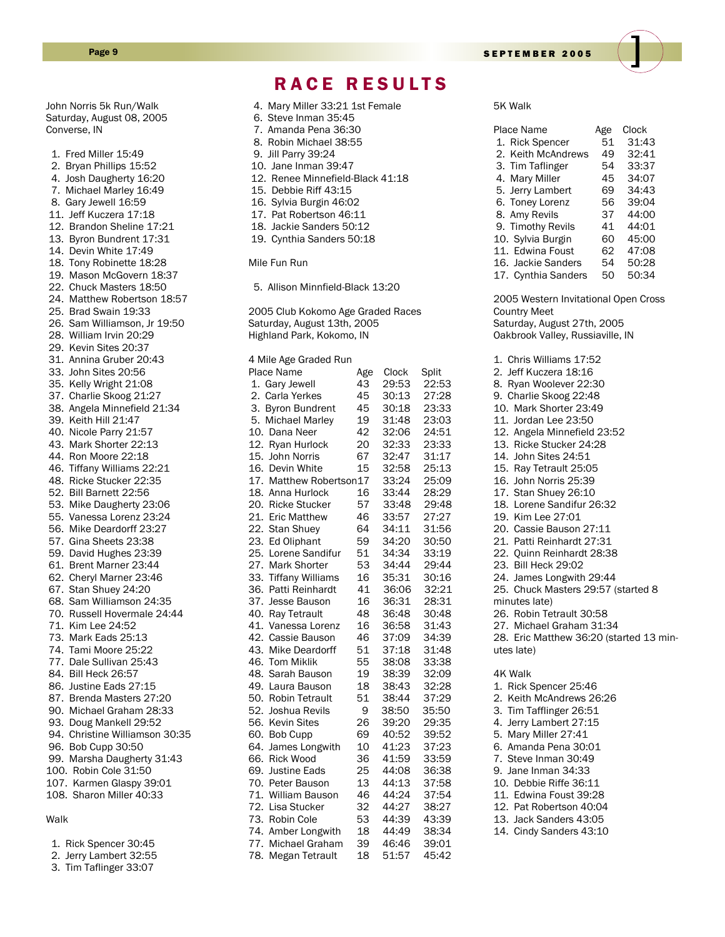John Norris 5k Run/Walk Saturday, August 08, 2005 Converse, IN

 1. Fred Miller 15:49 2. Bryan Phillips 15:52 4. Josh Daugherty 16:20 7. Michael Marley 16:49 8. Gary Jewell 16:59 11. Jeff Kuczera 17:18 12. Brandon Sheline 17:21 13. Byron Bundrent 17:31 14. Devin White 17:49 18. Tony Robinette 18:28 19. Mason McGovern 18:37 22. Chuck Masters 18:50 24. Matthew Robertson 18:57 25. Brad Swain 19:33 26. Sam Williamson, Jr 19:50 28. William Irvin 20:29 29. Kevin Sites 20:37 31. Annina Gruber 20:43 33. John Sites 20:56 35. Kelly Wright 21:08 37. Charlie Skoog 21:27 38. Angela Minnefield 21:34 39. Keith Hill 21:47 40. Nicole Parry 21:57 43. Mark Shorter 22:13 44. Ron Moore 22:18 46. Tiffany Williams 22:21 48. Ricke Stucker 22:35 52. Bill Barnett 22:56 53. Mike Daugherty 23:06 55. Vanessa Lorenz 23:24 56. Mike Deardorff 23:27 57. Gina Sheets 23:38 59. David Hughes 23:39 61. Brent Marner 23:44 62. Cheryl Marner 23:46 67. Stan Shuey 24:20 68. Sam Williamson 24:35 70. Russell Hovermale 24:44 71. Kim Lee 24:52 73. Mark Eads 25:13 74. Tami Moore 25:22 77. Dale Sullivan 25:43 84. Bill Heck 26:57 86. Justine Eads 27:15 87. Brenda Masters 27:20 90. Michael Graham 28:33 93. Doug Mankell 29:52 94. Christine Williamson 30:35 96. Bob Cupp 30:50 99. Marsha Daugherty 31:43 100. Robin Cole 31:50

#### 107. Karmen Glaspy 39:01 108. Sharon Miller 40:33

#### Walk

| 1. Rick Spencer 30:45  |
|------------------------|
| 2. Jerry Lambert 32:55 |

- 3. Tim Taflinger 33:07
- 4. Mary Miller 33:21 1st Female 6. Steve Inman 35:45 7. Amanda Pena 36:30 8. Robin Michael 38:55 9. Jill Parry 39:24 10. Jane Inman 39:47 12. Renee Minnefield-Black 41:18 15. Debbie Riff 43:15 16. Sylvia Burgin 46:02 17. Pat Robertson 46:11 18. Jackie Sanders 50:12 19. Cynthia Sanders 50:18 Mile Fun Run 5. Allison Minnfield-Black 13:20 2005 Club Kokomo Age Graded Races Saturday, August 13th, 2005 Highland Park, Kokomo, IN 4 Mile Age Graded Run Place Name age Clock Split<br>1. Gary Jewell 43 29:53 22:5 1. Gary Jewell 43 29:53 22:53 2. Carla Yerkes 45 30:13 27:28 3. Byron Bundrent 45 30:18 23:33 5. Michael Marley 19 31:48 23:03 10. Dana Neer 42 32:06 24:51 12. Ryan Hurlock 20 32:33 23:33 15. John Norris 67 32:47 31:17 16. Devin White 15 32:58 25:13 17. Matthew Robertson17 33:24 25:09 18. Anna Hurlock 16 33:44 28:29 20. Ricke Stucker 57 33:48 29:48 21. Eric Matthew 46 33:57 27:27 22. Stan Shuey 64 34:11 31:56 23. Ed Oliphant 59 34:20 30:50 25. Lorene Sandifur 51 34:34 33:19 27. Mark Shorter 53 34:44 29:44 33. Tiffany Williams 16 35:31 30:16 36. Patti Reinhardt 41 36:06 32:21 37. Jesse Bauson 16 36:31 28:31 40. Ray Tetrault 48 36:48 30:48 41. Vanessa Lorenz 16 36:58 31:43 42. Cassie Bauson 46 37:09 34:39 43. Mike Deardorff 51 37:18 31:48 46. Tom Miklik 55 38:08 33:38 48. Sarah Bauson 19 38:39 32:09 49. Laura Bauson 18 38:43 32:28 50. Robin Tetrault 51 38:44 37:29 52. Joshua Revils 9 38:50 35:50 56. Kevin Sites 26 39:20 29:35 60. Bob Cupp 69 40:52 39:52 64. James Longwith 10 41:23 37:23 66. Rick Wood 36 41:59 33:59 69. Justine Eads 25 44:08 36:38 70. Peter Bauson 13 44:13 37:58 71. William Bauson 46 44:24 37:54 72. Lisa Stucker 32 44:27 38:27 73. Robin Cole 74. Amber Longwith 18 44:49 38:34 77. Michael Graham 39 46:46 39:01

78. Megan Tetrault 18 51:57 45:42

RACE RESULTS

Page 9 SEPTEMBER 2005

5K Walk

| Place Name                           | Age  | Clock    |
|--------------------------------------|------|----------|
| 1. Rick Spencer                      |      | 51 31:43 |
| 2. Keith McAndrews                   | 49   | 32:41    |
| 3. Tim Taflinger                     |      | 54 33:37 |
| 4. Mary Miller                       |      | 45 34:07 |
| 5. Jerry Lambert                     |      | 69 34:43 |
| 6. Toney Lorenz                      |      | 56 39:04 |
| 8. Amy Revils                        |      | 37 44:00 |
| 9. Timothy Revils                    |      | 41 44:01 |
| 10. Sylvia Burgin                    |      | 60 45:00 |
| 11. Edwina Foust                     |      | 62 47:08 |
| 16. Jackie Sanders                   |      | 54 50:28 |
| 17. Cynthia Sanders                  | 50 - | 50:34    |
| 2005 Western Invitational Open Cross |      |          |
| <b>Country Meet</b>                  |      |          |
| Saturday, August 27th, 2005          |      |          |
| Oakbrook Valley, Russiaville, IN     |      |          |
|                                      |      |          |
| 1. Chris Williams 17:52              |      |          |
| 2. Jeff Kuczera 18:16                |      |          |
| 8. Ryan Woolever 22:30               |      |          |
| 9. Charlie Skoog 22:48               |      |          |
| 10. Mark Shorter 23:49               |      |          |
|                                      |      |          |

- 11. Jordan Lee 23:50
- 12. Angela Minnefield 23:52
- 13. Ricke Stucker 24:28 14. John Sites 24:51
- 15. Ray Tetrault 25:05
- 16. John Norris 25:39
- 17. Stan Shuey 26:10
- 18. Lorene Sandifur 26:32
- 19. Kim Lee 27:01
- 20. Cassie Bauson 27:11
- 21. Patti Reinhardt 27:31
- 22. Quinn Reinhardt 28:38
- 23. Bill Heck 29:02
- 24. James Longwith 29:44
- 25. Chuck Masters 29:57 (started 8
- minutes late)
- 26. Robin Tetrault 30:58
- 27. Michael Graham 31:34

28. Eric Matthew 36:20 (started 13 minutes late)

#### 4K Walk

1. Rick Spencer 25:46 2. Keith McAndrews 26:26 3. Tim Tafflinger 26:51 4. Jerry Lambert 27:15 5. Mary Miller 27:41 6. Amanda Pena 30:01 7. Steve Inman 30:49 9. Jane Inman 34:33 10. Debbie Riffe 36:11 11. Edwina Foust 39:28 12. Pat Robertson 40:04 13. Jack Sanders 43:05 14. Cindy Sanders 43:10

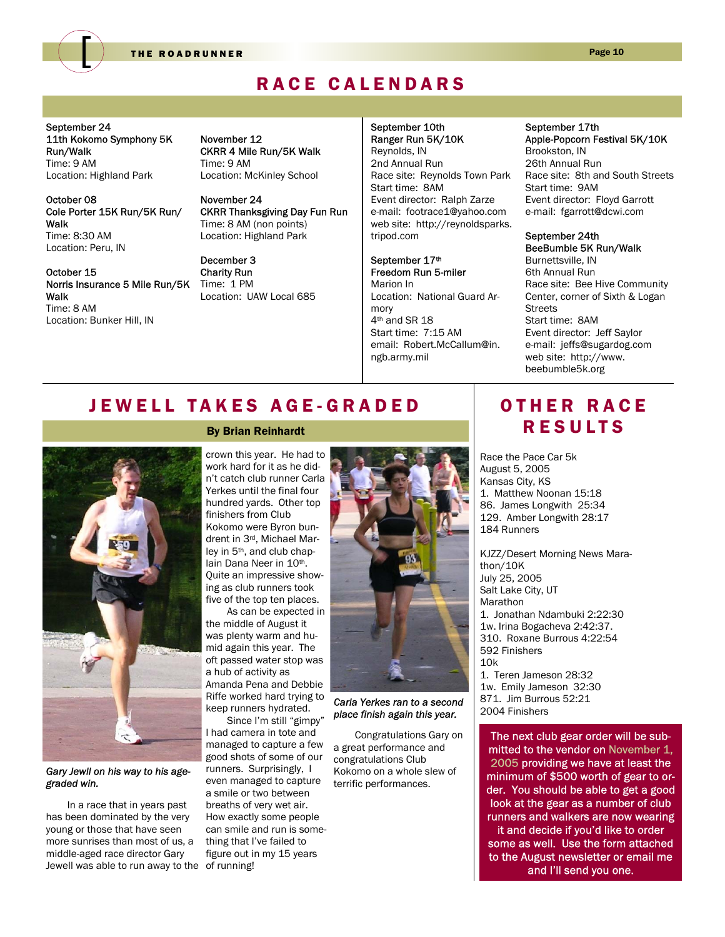

THE ROADRUNNER Page 10

### RACE CALENDARS

September 24 11th Kokomo Symphony 5K Run/Walk Time: 9 AM Location: Highland Park

October 08 Cole Porter 15K Run/5K Run/ Walk Time: 8:30 AM Location: Peru, IN

October 15 Norris Insurance 5 Mile Run/5K Walk Time: 8 AM Location: Bunker Hill, IN

November 12 CKRR 4 Mile Run/5K Walk Time: 9 AM Location: McKinley School

November 24 CKRR Thanksgiving Day Fun Run Time: 8 AM (non points) Location: Highland Park

December 3 Charity Run Time: 1 PM Location: UAW Local 685 September 10th Ranger Run 5K/10K Reynolds, IN 2nd Annual Run Race site: Reynolds Town Park Start time: 8AM Event director: Ralph Zarze e-mail: footrace1@yahoo.com web site: http://reynoldsparks. tripod.com

September 17th Freedom Run 5-miler Marion In Location: National Guard Armory 4th and SR 18 Start time: 7:15 AM email: Robert.McCallum@in. ngb.army.mil

#### September 17th Apple-Popcorn Festival 5K/10K

Brookston, IN 26th Annual Run Race site: 8th and South Streets Start time: 9AM Event director: Floyd Garrott e-mail: fgarrott@dcwi.com

#### September 24th BeeBumble 5K Run/Walk

Burnettsville, IN 6th Annual Run Race site: Bee Hive Community Center, corner of Sixth & Logan Streets Start time: 8AM Event director: Jeff Saylor e-mail: jeffs@sugardog.com web site: http://www. beebumble5k.org

### JEWELL TAKES AGE-GRADED



#### *Gary Jewll on his way to his agegraded win.*

In a race that in years past has been dominated by the very young or those that have seen more sunrises than most of us, a middle-aged race director Gary Jewell was able to run away to the of running!

#### By Brian Reinhardt

crown this year. He had to work hard for it as he didn't catch club runner Carla Yerkes until the final four hundred yards. Other top finishers from Club Kokomo were Byron bundrent in 3rd, Michael Marley in 5th, and club chaplain Dana Neer in 10<sup>th</sup>. Quite an impressive showing as club runners took five of the top ten places.

As can be expected in the middle of August it was plenty warm and humid again this year. The oft passed water stop was a hub of activity as Amanda Pena and Debbie Riffe worked hard trying to keep runners hydrated.

Since I'm still "gimpy" I had camera in tote and managed to capture a few good shots of some of our runners. Surprisingly, I even managed to capture a smile or two between breaths of very wet air. How exactly some people can smile and run is something that I've failed to figure out in my 15 years



*Carla Yerkes ran to a second place finish again this year.* 

Congratulations Gary on a great performance and congratulations Club Kokomo on a whole slew of terrific performances.

### OTHER RACE RESULTS

Race the Pace Car 5k August 5, 2005 Kansas City, KS 1. Matthew Noonan 15:18 86. James Longwith 25:34 129. Amber Longwith 28:17 184 Runners

KJZZ/Desert Morning News Marathon/10K July 25, 2005 Salt Lake City, UT Marathon 1. Jonathan Ndambuki 2:22:30 1w. Irina Bogacheva 2:42:37. 310. Roxane Burrous 4:22:54 592 Finishers  $10k$ 1. Teren Jameson 28:32

1w. Emily Jameson 32:30 871. Jim Burrous 52:21 2004 Finishers

The next club gear order will be submitted to the vendor on November 1, 2005 providing we have at least the minimum of \$500 worth of gear to order. You should be able to get a good look at the gear as a number of club runners and walkers are now wearing it and decide if you'd like to order some as well. Use the form attached to the August newsletter or email me and I'll send you one.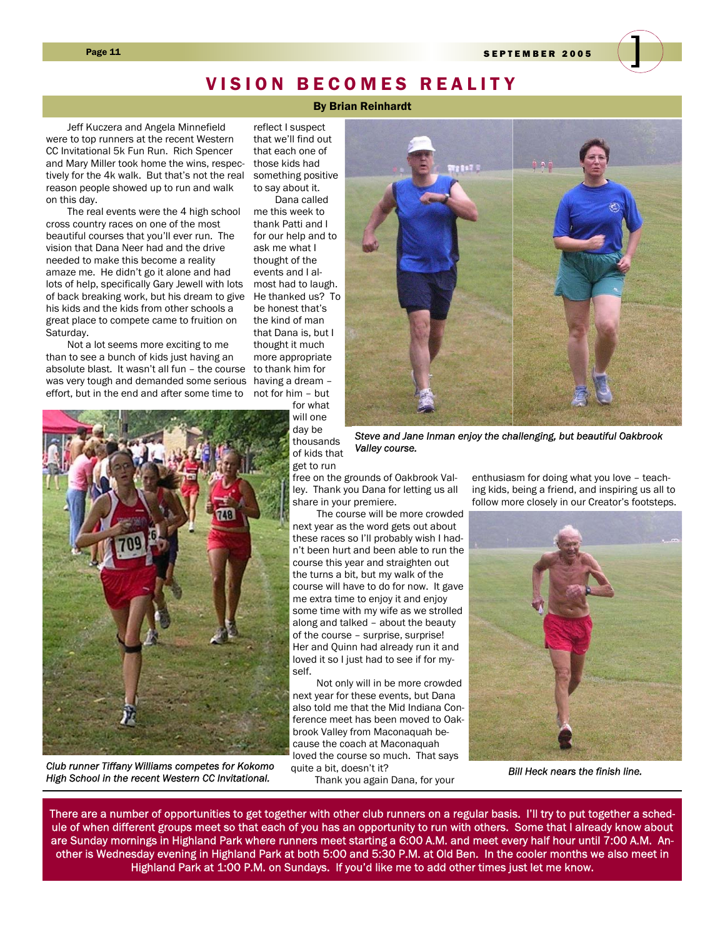Page 11 SEPTEMBER 2005

### VISION BECOMES REALITY

By Brian Reinhardt

Jeff Kuczera and Angela Minnefield were to top runners at the recent Western CC Invitational 5k Fun Run. Rich Spencer and Mary Miller took home the wins, respectively for the 4k walk. But that's not the real reason people showed up to run and walk on this day.

The real events were the 4 high school cross country races on one of the most beautiful courses that you'll ever run. The vision that Dana Neer had and the drive needed to make this become a reality amaze me. He didn't go it alone and had lots of help, specifically Gary Jewell with lots of back breaking work, but his dream to give He thanked us? To his kids and the kids from other schools a great place to compete came to fruition on Saturday.

Not a lot seems more exciting to me than to see a bunch of kids just having an absolute blast. It wasn't all fun – the course was very tough and demanded some serious effort, but in the end and after some time to

reflect I suspect that we'll find out that each one of those kids had something positive

to say about it. Dana called me this week to thank Patti and I for our help and to ask me what I thought of the events and I almost had to laugh. be honest that's the kind of man that Dana is, but I thought it much more appropriate to thank him for having a dream – not for him – but for what

will one day be thousands of kids that get to run

free on the grounds of Oakbrook Valley. Thank you Dana for letting us all share in your premiere.

*Valley course.* 

 The course will be more crowded next year as the word gets out about these races so I'll probably wish I hadn't been hurt and been able to run the course this year and straighten out the turns a bit, but my walk of the course will have to do for now. It gave me extra time to enjoy it and enjoy some time with my wife as we strolled along and talked – about the beauty of the course – surprise, surprise! Her and Quinn had already run it and loved it so I just had to see if for myself.

 Not only will in be more crowded next year for these events, but Dana also told me that the Mid Indiana Conference meet has been moved to Oakbrook Valley from Maconaquah because the coach at Maconaquah loved the course so much. That says quite a bit, doesn't it?

Thank you again Dana, for your

enthusiasm for doing what you love – teach-

ing kids, being a friend, and inspiring us all to follow more closely in our Creator's footsteps.

*Bill Heck nears the finish line.* 

There are a number of opportunities to get together with other club runners on a regular basis. I'll try to put together a schedule of when different groups meet so that each of you has an opportunity to run with others. Some that I already know about are Sunday mornings in Highland Park where runners meet starting a 6:00 A.M. and meet every half hour until 7:00 A.M. Another is Wednesday evening in Highland Park at both 5:00 and 5:30 P.M. at Old Ben. In the cooler months we also meet in Highland Park at 1:00 P.M. on Sundays. If you'd like me to add other times just let me know.



*Club runner Tiffany Williams competes for Kokomo High School in the recent Western CC Invitational.* 



*Steve and Jane Inman enjoy the challenging, but beautiful Oakbrook*